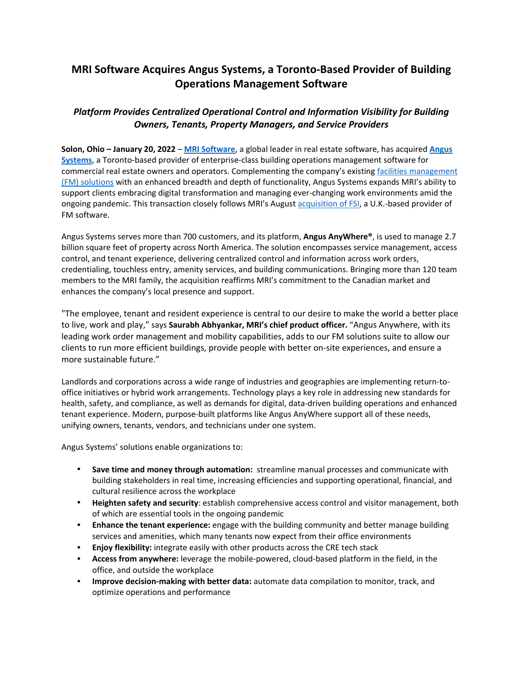## **MRI Software Acquires Angus Systems, a Toronto‐Based Provider of Building Operations Management Software**

## *Platform Provides Centralized Operational Control and Information Visibility for Building Owners, Tenants, Property Managers, and Service Providers*

**Solon, Ohio – January 20, 2022** – **MRI Software**, a global leader in real estate software, has acquired **Angus Systems**, a Toronto‐based provider of enterprise‐class building operations management software for commercial real estate owners and operators. Complementing the company's existing facilities management (FM) solutions with an enhanced breadth and depth of functionality, Angus Systems expands MRI's ability to support clients embracing digital transformation and managing ever-changing work environments amid the ongoing pandemic. This transaction closely follows MRI's August acquisition of FSI, a U.K.‐based provider of FM software.

Angus Systems serves more than 700 customers, and its platform, **Angus AnyWhere®**, is used to manage 2.7 billion square feet of property across North America. The solution encompasses service management, access control, and tenant experience, delivering centralized control and information across work orders, credentialing, touchless entry, amenity services, and building communications. Bringing more than 120 team members to the MRI family, the acquisition reaffirms MRI's commitment to the Canadian market and enhances the company's local presence and support.

"The employee, tenant and resident experience is central to our desire to make the world a better place to live, work and play," says **Saurabh Abhyankar, MRI's chief product officer.** "Angus Anywhere, with its leading work order management and mobility capabilities, adds to our FM solutions suite to allow our clients to run more efficient buildings, provide people with better on‐site experiences, and ensure a more sustainable future."

Landlords and corporations across a wide range of industries and geographies are implementing return‐to‐ office initiatives or hybrid work arrangements. Technology plays a key role in addressing new standards for health, safety, and compliance, as well as demands for digital, data-driven building operations and enhanced tenant experience. Modern, purpose‐built platforms like Angus AnyWhere support all of these needs, unifying owners, tenants, vendors, and technicians under one system.

Angus Systems' solutions enable organizations to:

- **Save time and money through automation:** streamline manual processes and communicate with building stakeholders in real time, increasing efficiencies and supporting operational, financial, and cultural resilience across the workplace
- **Heighten safety and security**: establish comprehensive access control and visitor management, both of which are essential tools in the ongoing pandemic
- **Enhance the tenant experience:** engage with the building community and better manage building services and amenities, which many tenants now expect from their office environments
- **Enjoy flexibility:** integrate easily with other products across the CRE tech stack
- **Access from anywhere:** leverage the mobile‐powered, cloud‐based platform in the field, in the office, and outside the workplace
- **Improve decision‐making with better data:** automate data compilation to monitor, track, and optimize operations and performance